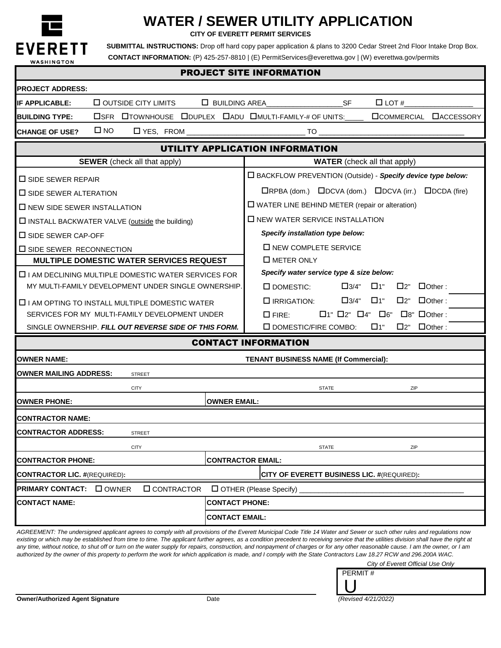

# **WATER / SEWER UTILITY APPLICATION**

**CITY OF EVERETT PERMIT SERVICES**

 **CONTACT INFORMATION:** (P) 425-257-8810 | (E) PermitServices@everettwa.gov | (W) everettwa.gov/permits EVERETT SUBMITTAL INSTRUCTIONS: Drop off hard copy paper application & plans to 3200 Cedar Street 2nd Floor Intake Drop Box.

| ,,,,,,,,,,,,,,,,<br><b>PROJECT SITE INFORMATION</b>        |                                                       |                                       |                                                               |                                                                             |
|------------------------------------------------------------|-------------------------------------------------------|---------------------------------------|---------------------------------------------------------------|-----------------------------------------------------------------------------|
| <b>PROJECT ADDRESS:</b>                                    |                                                       |                                       |                                                               |                                                                             |
| <b>IF APPLICABLE:</b>                                      | $\Box$ OUTSIDE CITY LIMITS                            | <b>LI BUILDING AREA</b>               | SF                                                            | $\Box$ LOT #                                                                |
| <b>BUILDING TYPE:</b>                                      |                                                       |                                       | <b>OSFR OTOWNHOUSE ODUPLEX DADU OMULTI-FAMILY-# OF UNITS:</b> | <b>OCOMMERCIAL DACCESSORY</b>                                               |
| <b>CHANGE OF USE?</b>                                      | $\square$ NO                                          |                                       |                                                               |                                                                             |
|                                                            |                                                       |                                       | UTILITY APPLICATION INFORMATION                               |                                                                             |
| <b>SEWER</b> (check all that apply)                        |                                                       |                                       | <b>WATER</b> (check all that apply)                           |                                                                             |
| $\square$ SIDE SEWER REPAIR                                |                                                       |                                       | □ BACKFLOW PREVENTION (Outside) - Specify device type below:  |                                                                             |
| $\square$ SIDE SEWER ALTERATION                            |                                                       |                                       |                                                               | $\Box$ RPBA (dom.) $\Box$ DCVA (dom.) $\Box$ DCVA (irr.) $\Box$ DCDA (fire) |
| $\Box$ NEW SIDE SEWER INSTALLATION                         |                                                       |                                       | $\Box$ WATER LINE BEHIND METER (repair or alteration)         |                                                                             |
| □ INSTALL BACKWATER VALVE (outside the building)           |                                                       |                                       | <b>O NEW WATER SERVICE INSTALLATION</b>                       |                                                                             |
| $\square$ SIDE SEWER CAP-OFF                               |                                                       |                                       | Specify installation type below:                              |                                                                             |
| <b>I SIDE SEWER RECONNECTION</b>                           |                                                       |                                       | $\square$ NEW COMPLETE SERVICE                                |                                                                             |
| <b>MULTIPLE DOMESTIC WATER SERVICES REQUEST</b>            |                                                       |                                       | $\square$ METER ONLY                                          |                                                                             |
| $\Box$ I AM DECLINING MULTIPLE DOMESTIC WATER SERVICES FOR |                                                       |                                       | Specify water service type & size below:                      |                                                                             |
|                                                            | MY MULTI-FAMILY DEVELOPMENT UNDER SINGLE OWNERSHIP.   |                                       | $\square$ DOMESTIC:<br>$\square$ 3/4"                         | □1"<br>$\Box$ Other:<br>$\Box$ 2"                                           |
|                                                            | $\Box$ I AM OPTING TO INSTALL MULTIPLE DOMESTIC WATER |                                       | $\Box$ IRRIGATION:                                            | $\square$ 3/4" $\square$ 1"<br>$\Box$ 2"<br>$\Box$ Other:                   |
|                                                            | SERVICES FOR MY MULTI-FAMILY DEVELOPMENT UNDER        |                                       | $\Box$ 1" $\Box$ 2" $\Box$ 4" $\Box$ 6"<br>$\square$ FIRE:    | $\Box$ 8" $\Box$ Other :                                                    |
|                                                            | SINGLE OWNERSHIP. FILL OUT REVERSE SIDE OF THIS FORM. |                                       | $\square$ DOMESTIC/FIRE COMBO:                                | □1"<br>$\Box$ Other:<br>□2"                                                 |
|                                                            |                                                       |                                       | <b>CONTACT INFORMATION</b>                                    |                                                                             |
| <b>OWNER NAME:</b>                                         |                                                       | TENANT BUSINESS NAME (If Commercial): |                                                               |                                                                             |
| <b>OWNER MAILING ADDRESS:</b>                              | <b>STREET</b>                                         |                                       |                                                               |                                                                             |
|                                                            | <b>CITY</b>                                           |                                       | <b>STATE</b>                                                  | ZIP                                                                         |
| <b>OWNER PHONE:</b>                                        |                                                       | <b>OWNER EMAIL:</b>                   |                                                               |                                                                             |
| <b>CONTRACTOR NAME:</b>                                    |                                                       |                                       |                                                               |                                                                             |
| <b>CONTRACTOR ADDRESS:</b>                                 | STREET                                                |                                       |                                                               |                                                                             |
|                                                            | <b>CITY</b>                                           |                                       | <b>STATE</b>                                                  | ZIP                                                                         |
| <b>CONTRACTOR PHONE:</b>                                   |                                                       |                                       | <b>CONTRACTOR EMAIL:</b>                                      |                                                                             |
| <b>CONTRACTOR LIC. #(REQUIRED):</b>                        |                                                       |                                       | CITY OF EVERETT BUSINESS LIC. #(REQUIRED):                    |                                                                             |
| <b>PRIMARY CONTACT:</b> □ OWNER                            | <b>O</b> CONTRACTOR                                   |                                       | <b>OTHER (Please Specify)</b>                                 |                                                                             |
| <b>CONTACT NAME:</b>                                       |                                                       | <b>CONTACT PHONE:</b>                 |                                                               |                                                                             |
|                                                            |                                                       | <b>CONTACT EMAIL:</b>                 |                                                               |                                                                             |
|                                                            |                                                       |                                       |                                                               |                                                                             |

*AGREEMENT: The undersigned applicant agrees to comply with all provisions of the Everett Municipal Code Title 14 Water and Sewer or such other rules and regulations now*  existing or which may be established from time to time. The applicant further agrees, as a condition precedent to receiving service that the utilities division shall have the right at any time, without notice, to shut off or turn on the water supply for repairs, construction, and nonpayment of charges or for any other reasonable cause. I am the owner, or I am *authorized by the owner of this property to perform the work for which application is made, and I comply with the State Contractors Law 18.27 RCW and 296.200A WAC.*

*City of Everett Official Use Only*